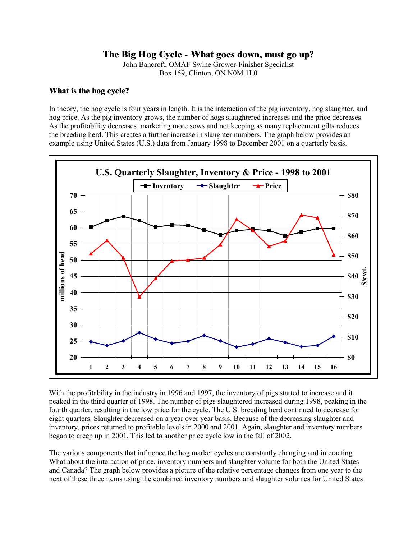# **The Big Hog Cycle - What goes down, must go up?**

John Bancroft, OMAF Swine Grower-Finisher Specialist Box 159, Clinton, ON N0M 1L0

#### **What is the hog cycle?**

In theory, the hog cycle is four years in length. It is the interaction of the pig inventory, hog slaughter, and hog price. As the pig inventory grows, the number of hogs slaughtered increases and the price decreases. As the profitability decreases, marketing more sows and not keeping as many replacement gilts reduces the breeding herd. This creates a further increase in slaughter numbers. The graph below provides an example using United States (U.S.) data from January 1998 to December 2001 on a quarterly basis.



With the profitability in the industry in 1996 and 1997, the inventory of pigs started to increase and it peaked in the third quarter of 1998. The number of pigs slaughtered increased during 1998, peaking in the fourth quarter, resulting in the low price for the cycle. The U.S. breeding herd continued to decrease for eight quarters. Slaughter decreased on a year over year basis. Because of the decreasing slaughter and inventory, prices returned to profitable levels in 2000 and 2001. Again, slaughter and inventory numbers began to creep up in 2001. This led to another price cycle low in the fall of 2002.

The various components that influence the hog market cycles are constantly changing and interacting. What about the interaction of price, inventory numbers and slaughter volume for both the United States and Canada? The graph below provides a picture of the relative percentage changes from one year to the next of these three items using the combined inventory numbers and slaughter volumes for United States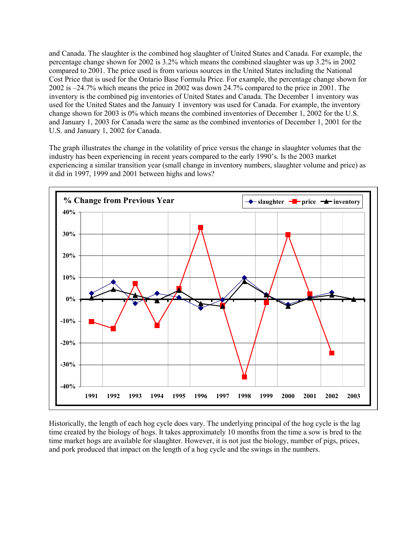and Canada. The slaughter is the combined hog slaughter of United States and Canada. For example, the percentage change shown for 2002 is 3.2% which means the combined slaughter was up 3.2% in 2002 compared to 2001. The price used is from various sources in the United States including the National Cost Price that is used for the Ontario Base Formula Price. For example, the percentage change shown for 2002 is –24.7% which means the price in 2002 was down 24.7% compared to the price in 2001. The inventory is the combined pig inventories of United States and Canada. The December 1 inventory was used for the United States and the January 1 inventory was used for Canada. For example, the inventory change shown for 2003 is 0% which means the combined inventories of December 1, 2002 for the U.S. and January 1, 2003 for Canada were the same as the combined inventories of December 1, 2001 for the U.S. and January 1, 2002 for Canada.

The graph illustrates the change in the volatility of price versus the change in slaughter volumes that the industry has been experiencing in recent years compared to the early 1990's. Is the 2003 market experiencing a similar transition year (small change in inventory numbers, slaughter volume and price) as it did in 1997, 1999 and 2001 between highs and lows?



Historically, the length of each hog cycle does vary. The underlying principal of the hog cycle is the lag time created by the biology of hogs. It takes approximately 10 months from the time a sow is bred to the time market hogs are available for slaughter. However, it is not just the biology, number of pigs, prices, and pork produced that impact on the length of a hog cycle and the swings in the numbers.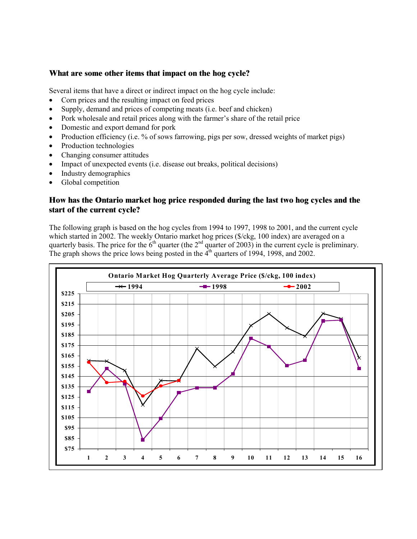### **What are some other items that impact on the hog cycle?**

Several items that have a direct or indirect impact on the hog cycle include:

- Corn prices and the resulting impact on feed prices
- Supply, demand and prices of competing meats (i.e. beef and chicken)
- Pork wholesale and retail prices along with the farmer's share of the retail price
- Domestic and export demand for pork
- Production efficiency (i.e. % of sows farrowing, pigs per sow, dressed weights of market pigs)
- Production technologies
- Changing consumer attitudes
- Impact of unexpected events (i.e. disease out breaks, political decisions)
- Industry demographics
- Global competition

## **How has the Ontario market hog price responded during the last two hog cycles and the start of the current cycle?**

The following graph is based on the hog cycles from 1994 to 1997, 1998 to 2001, and the current cycle which started in 2002. The weekly Ontario market hog prices (\$/ckg, 100 index) are averaged on a quarterly basis. The price for the  $6<sup>th</sup>$  quarter (the  $2<sup>nd</sup>$  quarter of 2003) in the current cycle is preliminary. The graph shows the price lows being posted in the  $4<sup>th</sup>$  quarters of 1994, 1998, and 2002.